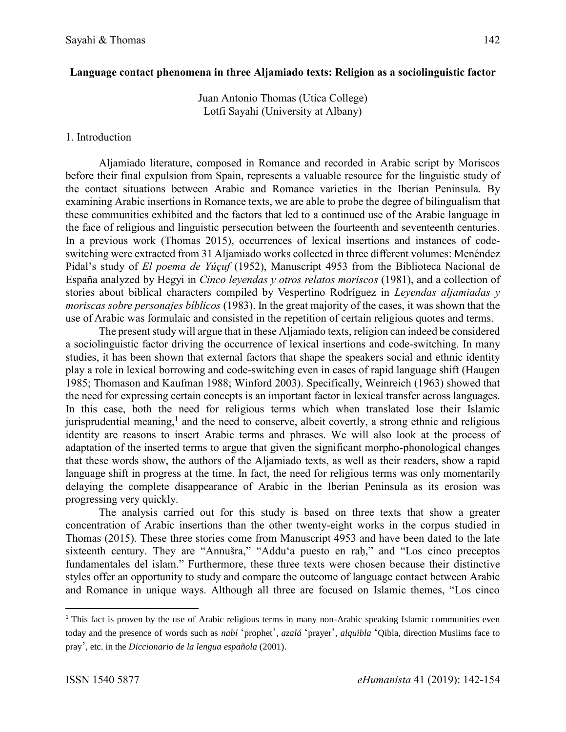# **Language contact phenomena in three Aljamiado texts: Religion as a sociolinguistic factor**

Juan Antonio Thomas (Utica College) Lotfi Sayahi (University at Albany)

## 1. Introduction

Aljamiado literature, composed in Romance and recorded in Arabic script by Moriscos before their final expulsion from Spain, represents a valuable resource for the linguistic study of the contact situations between Arabic and Romance varieties in the Iberian Peninsula. By examining Arabic insertions in Romance texts, we are able to probe the degree of bilingualism that these communities exhibited and the factors that led to a continued use of the Arabic language in the face of religious and linguistic persecution between the fourteenth and seventeenth centuries. In a previous work (Thomas 2015), occurrences of lexical insertions and instances of codeswitching were extracted from 31 Aljamiado works collected in three different volumes: Menéndez Pidal's study of *El poema de Yúçuf* (1952), Manuscript 4953 from the Biblioteca Nacional de España analyzed by Hegyi in *Cinco leyendas y otros relatos moriscos* (1981), and a collection of stories about biblical characters compiled by Vespertino Rodríguez in *Leyendas aljamiadas y moriscas sobre personajes bíblicos* (1983). In the great majority of the cases, it was shown that the use of Arabic was formulaic and consisted in the repetition of certain religious quotes and terms.

The present study will argue that in these Aljamiado texts, religion can indeed be considered a sociolinguistic factor driving the occurrence of lexical insertions and code-switching. In many studies, it has been shown that external factors that shape the speakers social and ethnic identity play a role in lexical borrowing and code-switching even in cases of rapid language shift (Haugen 1985; Thomason and Kaufman 1988; Winford 2003). Specifically, Weinreich (1963) showed that the need for expressing certain concepts is an important factor in lexical transfer across languages. In this case, both the need for religious terms which when translated lose their Islamic jurisprudential meaning,<sup>1</sup> and the need to conserve, albeit covertly, a strong ethnic and religious identity are reasons to insert Arabic terms and phrases. We will also look at the process of adaptation of the inserted terms to argue that given the significant morpho-phonological changes that these words show, the authors of the Aljamiado texts, as well as their readers, show a rapid language shift in progress at the time. In fact, the need for religious terms was only momentarily delaying the complete disappearance of Arabic in the Iberian Peninsula as its erosion was progressing very quickly.

The analysis carried out for this study is based on three texts that show a greater concentration of Arabic insertions than the other twenty-eight works in the corpus studied in Thomas (2015). These three stories come from Manuscript 4953 and have been dated to the late sixteenth century. They are "Annušra," "Addu'a puesto en raḥ," and "Los cinco preceptos fundamentales del islam." Furthermore, these three texts were chosen because their distinctive styles offer an opportunity to study and compare the outcome of language contact between Arabic and Romance in unique ways. Although all three are focused on Islamic themes, "Los cinco

 $\overline{\phantom{a}}$ 

<sup>&</sup>lt;sup>1</sup> This fact is proven by the use of Arabic religious terms in many non-Arabic speaking Islamic communities even today and the presence of words such as *nabí* 'prophet', *azalá* 'prayer', *alquibla* 'Qibla, direction Muslims face to pray', etc. in the *Diccionario de la lengua española* (2001).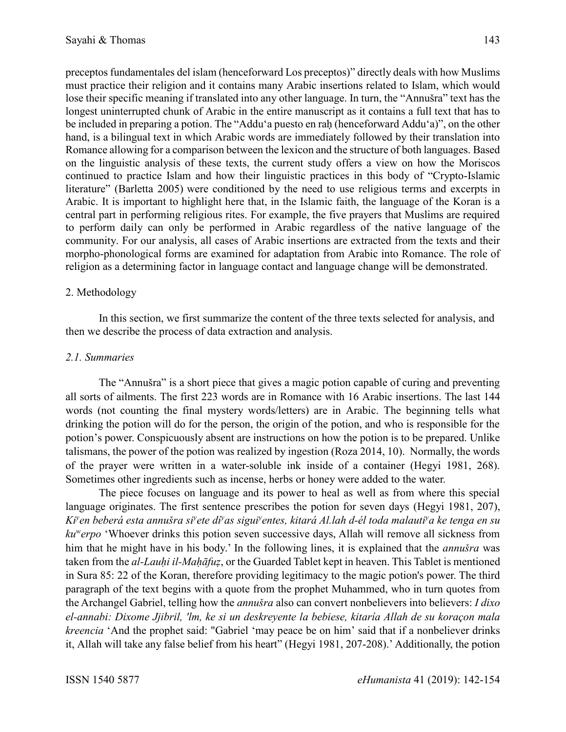preceptos fundamentales del islam (henceforward Los preceptos)" directly deals with how Muslims must practice their religion and it contains many Arabic insertions related to Islam, which would lose their specific meaning if translated into any other language. In turn, the "Annušra" text has the longest uninterrupted chunk of Arabic in the entire manuscript as it contains a full text that has to be included in preparing a potion. The "Addu'a puesto en raḥ (henceforward Addu'a)", on the other hand, is a bilingual text in which Arabic words are immediately followed by their translation into Romance allowing for a comparison between the lexicon and the structure of both languages. Based on the linguistic analysis of these texts, the current study offers a view on how the Moriscos continued to practice Islam and how their linguistic practices in this body of "Crypto-Islamic literature" (Barletta 2005) were conditioned by the need to use religious terms and excerpts in Arabic. It is important to highlight here that, in the Islamic faith, the language of the Koran is a central part in performing religious rites. For example, the five prayers that Muslims are required to perform daily can only be performed in Arabic regardless of the native language of the community. For our analysis, all cases of Arabic insertions are extracted from the texts and their morpho-phonological forms are examined for adaptation from Arabic into Romance. The role of religion as a determining factor in language contact and language change will be demonstrated.

# 2. Methodology

In this section, we first summarize the content of the three texts selected for analysis, and then we describe the process of data extraction and analysis.

#### *2.1. Summaries*

The "Annušra" is a short piece that gives a magic potion capable of curing and preventing all sorts of ailments. The first 223 words are in Romance with 16 Arabic insertions. The last 144 words (not counting the final mystery words/letters) are in Arabic. The beginning tells what drinking the potion will do for the person, the origin of the potion, and who is responsible for the potion's power. Conspicuously absent are instructions on how the potion is to be prepared. Unlike talismans, the power of the potion was realized by ingestion (Roza 2014, 10). Normally, the words of the prayer were written in a water-soluble ink inside of a container (Hegyi 1981, 268). Sometimes other ingredients such as incense, herbs or honey were added to the water.

The piece focuses on language and its power to heal as well as from where this special language originates. The first sentence prescribes the potion for seven days (Hegyi 1981, 207), *Ki<sup>y</sup>en beberá esta annušra si<sup>y</sup>ete dí<sup>y</sup>as sigui<sup>y</sup>entes, kitará Al.lah d-él toda malauti<sup>y</sup>a ke tenga en su ku<sup>w</sup> erpo* 'Whoever drinks this potion seven successive days, Allah will remove all sickness from him that he might have in his body.' In the following lines, it is explained that the *annušra* was taken from the *al-Lauḥi il-Maḥāfuẓ*, or the Guarded Tablet kept in heaven. This Tablet is mentioned in Sura 85: 22 of the Koran, therefore providing legitimacy to the magic potion's power. The third paragraph of the text begins with a quote from the prophet Muhammed, who in turn quotes from the Archangel Gabriel, telling how the *annušra* also can convert nonbelievers into believers: *I dixo el-annabi: Dixome Jjibril, 'lm, ke si un deskreyente la bebiese, kitaría Allah de su koraçon mala kreencia* 'And the prophet said: "Gabriel 'may peace be on him' said that if a nonbeliever drinks it, Allah will take any false belief from his heart" (Hegyi 1981, 207-208).' Additionally, the potion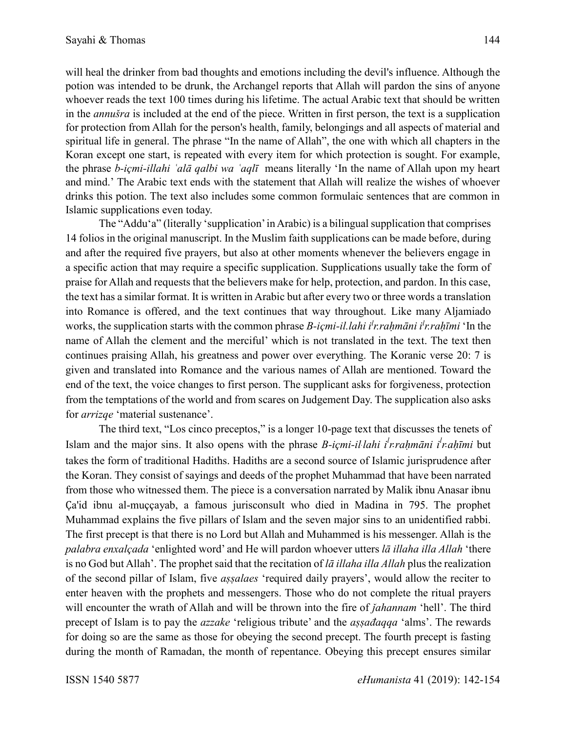will heal the drinker from bad thoughts and emotions including the devil's influence. Although the potion was intended to be drunk, the Archangel reports that Allah will pardon the sins of anyone whoever reads the text 100 times during his lifetime. The actual Arabic text that should be written in the *annušra* is included at the end of the piece. Written in first person, the text is a supplication for protection from Allah for the person's health, family, belongings and all aspects of material and spiritual life in general. The phrase "In the name of Allah", the one with which all chapters in the Koran except one start, is repeated with every item for which protection is sought. For example, the phrase *b-içmi-illahi ʿalā qalbi wa ʿaqlī* means literally 'In the name of Allah upon my heart and mind.' The Arabic text ends with the statement that Allah will realize the wishes of whoever drinks this potion. The text also includes some common formulaic sentences that are common in Islamic supplications even today.

The "Addu'a" (literally 'supplication'in Arabic) is a bilingual supplication that comprises 14 folios in the original manuscript. In the Muslim faith supplications can be made before, during and after the required five prayers, but also at other moments whenever the believers engage in a specific action that may require a specific supplication. Supplications usually take the form of praise for Allah and requests that the believers make for help, protection, and pardon. In this case, the text has a similar format. It is written in Arabic but after every two or three words a translation into Romance is offered, and the text continues that way throughout. Like many Aljamiado works, the supplication starts with the common phrase *B-içmi-il.lahi i l r.raḥmāni i l r.raḥīmi* 'In the name of Allah the clement and the merciful' which is not translated in the text. The text then continues praising Allah, his greatness and power over everything. The Koranic verse 20: 7 is given and translated into Romance and the various names of Allah are mentioned. Toward the end of the text, the voice changes to first person. The supplicant asks for forgiveness, protection from the temptations of the world and from scares on Judgement Day. The supplication also asks for *arrizqe* 'material sustenance'.

The third text, "Los cinco preceptos," is a longer 10-page text that discusses the tenets of Islam and the major sins. It also opens with the phrase *B-içmi-il. lahi i l r.raḥmāni i<sup>l</sup> r.aḥīmi* but takes the form of traditional Hadiths. Hadiths are a second source of Islamic jurisprudence after the Koran. They consist of sayings and deeds of the prophet Muhammad that have been narrated from those who witnessed them. The piece is a conversation narrated by Malik ibnu Anasar ibnu Ҫa'id ibnu al-muççayab, a famous jurisconsult who died in Madina in 795. The prophet Muhammad explains the five pillars of Islam and the seven major sins to an unidentified rabbi. The first precept is that there is no Lord but Allah and Muhammed is his messenger. Allah is the *palabra enxalçada* 'enlighted word' and He will pardon whoever utters *lā illaha illa Allah* 'there is no God but Allah'. The prophet said that the recitation of *lā illaha illa Allah* plus the realization of the second pillar of Islam, five *aṣṣalaes* 'required daily prayers', would allow the reciter to enter heaven with the prophets and messengers. Those who do not complete the ritual prayers will encounter the wrath of Allah and will be thrown into the fire of *jahannam* 'hell'. The third precept of Islam is to pay the *azzake* 'religious tribute' and the *aṣṣađaqqa* 'alms'. The rewards for doing so are the same as those for obeying the second precept. The fourth precept is fasting during the month of Ramadan, the month of repentance. Obeying this precept ensures similar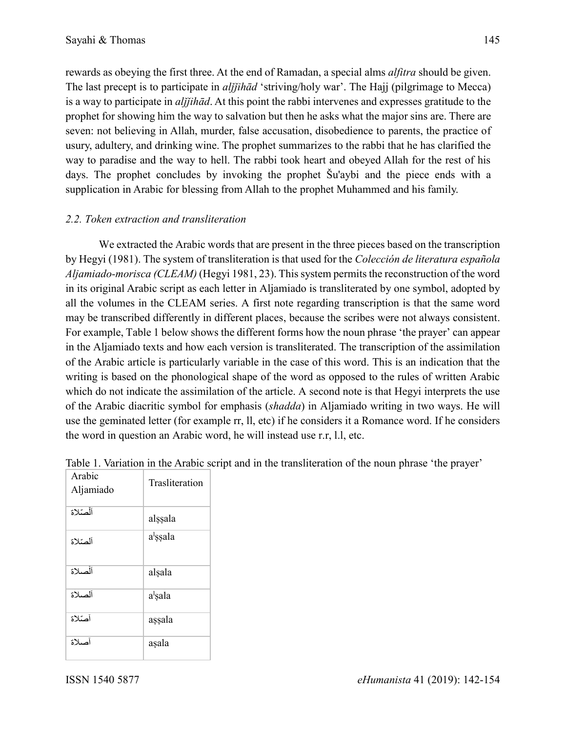rewards as obeying the first three. At the end of Ramadan, a special alms *alfitra* should be given. The last precept is to participate in *ali[ihad* 'striving/holy war'. The Hajj (pilgrimage to Mecca) is a way to participate in *aljjihād*. At this point the rabbi intervenes and expresses gratitude to the prophet for showing him the way to salvation but then he asks what the major sins are. There are seven: not believing in Allah, murder, false accusation, disobedience to parents, the practice of usury, adultery, and drinking wine. The prophet summarizes to the rabbi that he has clarified the way to paradise and the way to hell. The rabbi took heart and obeyed Allah for the rest of his days. The prophet concludes by invoking the prophet Šu'aybi and the piece ends with a supplication in Arabic for blessing from Allah to the prophet Muhammed and his family.

# *2.2. Token extraction and transliteration*

We extracted the Arabic words that are present in the three pieces based on the transcription by Hegyi (1981). The system of transliteration is that used for the *Colección de literatura española Aljamiado-morisca (CLEAM)* (Hegyi 1981, 23). This system permits the reconstruction of the word in its original Arabic script as each letter in Aljamiado is transliterated by one symbol, adopted by all the volumes in the CLEAM series. A first note regarding transcription is that the same word may be transcribed differently in different places, because the scribes were not always consistent. For example, Table 1 below shows the different forms how the noun phrase 'the prayer' can appear in the Aljamiado texts and how each version is transliterated. The transcription of the assimilation of the Arabic article is particularly variable in the case of this word. This is an indication that the writing is based on the phonological shape of the word as opposed to the rules of written Arabic which do not indicate the assimilation of the article. A second note is that Hegyi interprets the use of the Arabic diacritic symbol for emphasis (*shadda*) in Aljamiado writing in two ways. He will use the geminated letter (for example rr, ll, etc) if he considers it a Romance word. If he considers the word in question an Arabic word, he will instead use r.r, l.l, etc.

| Arabic<br>Aljamiado | Trasliteration       |
|---------------------|----------------------|
| آلْصّلاة            | alssala              |
| آلصّلاة             | a <sup>l</sup> ssala |
| آلصلاة              | alsala               |
| ألصلاة              | a <sup>l</sup> sala  |
| أصّلاة              | assala               |
| أصلاة               | asala                |

| Table 1. Variation in the Arabic script and in the transliteration of the noun phrase 'the prayer' |  |
|----------------------------------------------------------------------------------------------------|--|
|----------------------------------------------------------------------------------------------------|--|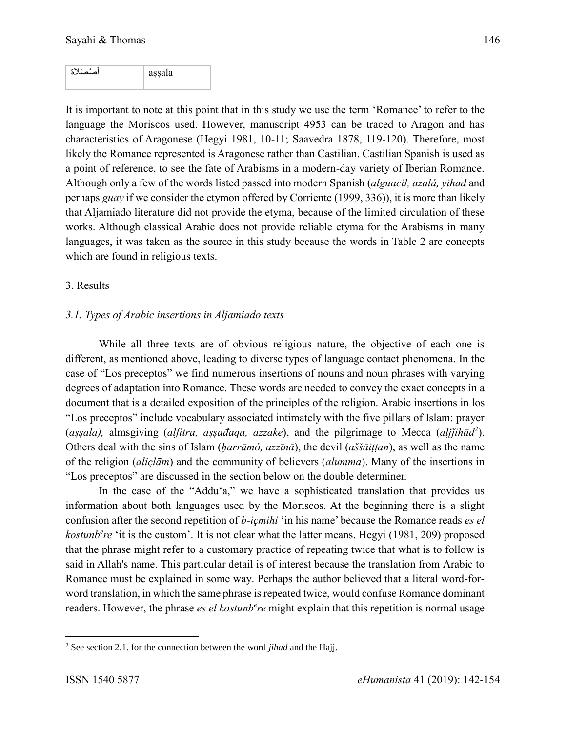| آمە ئىم ئىلانا | assala<br>. . |
|----------------|---------------|
|                |               |

It is important to note at this point that in this study we use the term 'Romance' to refer to the language the Moriscos used. However, manuscript 4953 can be traced to Aragon and has characteristics of Aragonese (Hegyi 1981, 10-11; Saavedra 1878, 119-120). Therefore, most likely the Romance represented is Aragonese rather than Castilian. Castilian Spanish is used as a point of reference, to see the fate of Arabisms in a modern-day variety of Iberian Romance. Although only a few of the words listed passed into modern Spanish (*alguacil, azalá, yihad* and perhaps *guay* if we consider the etymon offered by Corriente (1999, 336)), it is more than likely that Aljamiado literature did not provide the etyma, because of the limited circulation of these works. Although classical Arabic does not provide reliable etyma for the Arabisms in many languages, it was taken as the source in this study because the words in Table 2 are concepts which are found in religious texts.

#### 3. Results

# *3.1. Types of Arabic insertions in Aljamiado texts*

While all three texts are of obvious religious nature, the objective of each one is different, as mentioned above, leading to diverse types of language contact phenomena. In the case of "Los preceptos" we find numerous insertions of nouns and noun phrases with varying degrees of adaptation into Romance. These words are needed to convey the exact concepts in a document that is a detailed exposition of the principles of the religion. Arabic insertions in los "Los preceptos" include vocabulary associated intimately with the five pillars of Islam: prayer (*aṣṣala),* almsgiving (*alfitra, aṣṣađaqa, azzake*), and the pilgrimage to Mecca (*alǰǰihād<sup>2</sup>* ). Others deal with the sins of Islam (*ḥarrāmó, azzīnā*), the devil (*aššāiṭṭan*), as well as the name of the religion (*aliçlām*) and the community of believers (*alumma*). Many of the insertions in "Los preceptos" are discussed in the section below on the double determiner.

In the case of the "Addu'a," we have a sophisticated translation that provides us information about both languages used by the Moriscos. At the beginning there is a slight confusion after the second repetition of *b-içmihi* 'in his name' because the Romance reads *es el kostunb<sup>e</sup>re* 'it is the custom'. It is not clear what the latter means. Hegyi (1981, 209) proposed that the phrase might refer to a customary practice of repeating twice that what is to follow is said in Allah's name. This particular detail is of interest because the translation from Arabic to Romance must be explained in some way. Perhaps the author believed that a literal word-forword translation, in which the same phrase is repeated twice, would confuse Romance dominant readers. However, the phrase *es el kostunb<sup>e</sup>re* might explain that this repetition is normal usage

 $\overline{\phantom{a}}$ 

<sup>2</sup> See section 2.1. for the connection between the word *jihad* and the Hajj.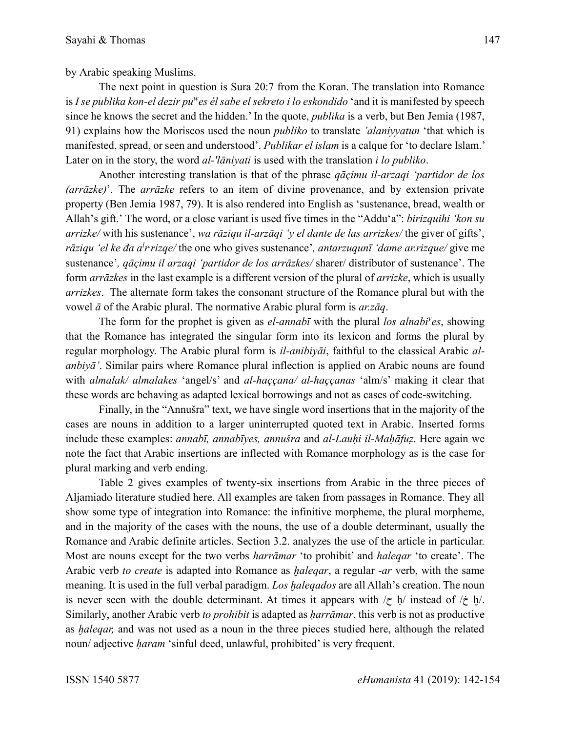by Arabic speaking Muslims.

The next point in question is Sura 20:7 from the Koran. The translation into Romance is *I se publika kon-el dezir pu<sup>w</sup> es él sabe el sekreto i lo eskondido* 'and it is manifested by speech since he knows the secret and the hidden.' In the quote, *publika* is a verb, but Ben Jemia (1987, 91) explains how the Moriscos used the noun *publiko* to translate *'alaniyyatun* 'that which is manifested, spread, or seen and understood'. *Publikar el islam* is a calque for 'to declare Islam.' Later on in the story, the word *al-'lāniyati* is used with the translation *i lo publiko*.

Another interesting translation is that of the phrase *qāçimu il-arzaqi 'partidor de los (arrāzke)*'. The *arrāzke* refers to an item of divine provenance, and by extension private property (Ben Jemia 1987, 79). It is also rendered into English as 'sustenance, bread, wealth or Allah's gift.' The word, or a close variant is used five times in the "Addu'a": *birizquihi 'kon su arrizke/* with his sustenance', *wa rāziqu il-arzāqi 'y el dante de las arrizkes/* the giver of gifts', *rāziqu 'el ke đa a<sup>l</sup>r rizqe/* the one who gives sustenance', *antarzuqunī 'dame ar.rizque/* give me sustenance'*, qāçimu il arzaqi 'partidor de los arrāzkes/* sharer/ distributor of sustenance'. The form *arrāzkes* in the last example is a different version of the plural of *arrizke*, which is usually *arrizkes*. The alternate form takes the consonant structure of the Romance plural but with the vowel *ā* of the Arabic plural. The normative Arabic plural form is *ar.zāq*.

The form for the prophet is given as *el-annabī* with the plural *los alnabi<sup>y</sup> es*, showing that the Romance has integrated the singular form into its lexicon and forms the plural by regular morphology. The Arabic plural form is *il-anibiyāi*, faithful to the classical Arabic *alanbiyā'*. Similar pairs where Romance plural inflection is applied on Arabic nouns are found with *almalak/ almalakes* 'angel/s' and *al-haççana/ al-haççanas* 'alm/s' making it clear that these words are behaving as adapted lexical borrowings and not as cases of code-switching.

Finally, in the "Annušra" text, we have single word insertions that in the majority of the cases are nouns in addition to a larger uninterrupted quoted text in Arabic. Inserted forms include these examples: *annabī, annabīyes, annušra* and *al-Lauḥi il-Maḥāfuz*̣. Here again we note the fact that Arabic insertions are inflected with Romance morphology as is the case for plural marking and verb ending.

Table 2 gives examples of twenty-six insertions from Arabic in the three pieces of Aljamiado literature studied here. All examples are taken from passages in Romance. They all show some type of integration into Romance: the infinitive morpheme, the plural morpheme, and in the majority of the cases with the nouns, the use of a double determinant, usually the Romance and Arabic definite articles. Section 3.2. analyzes the use of the article in particular. Most are nouns except for the two verbs *harrāmar* 'to prohibit' and *haleqar* 'to create'. The Arabic verb *to create* is adapted into Romance as *ḫaleqar*, a regular -*ar* verb, with the same meaning. It is used in the full verbal paradigm. *Los ḫaleqados* are all Allah's creation. The noun is never seen with the double determinant. At times it appears with  $\ell \geq h$  instead of  $\ell \geq h$ . Similarly, another Arabic verb *to prohibit* is adapted as *ḥarrāmar*, this verb is not as productive as *ḫaleqar,* and was not used as a noun in the three pieces studied here, although the related noun/ adjective *ḥaram* 'sinful deed, unlawful, prohibited' is very frequent.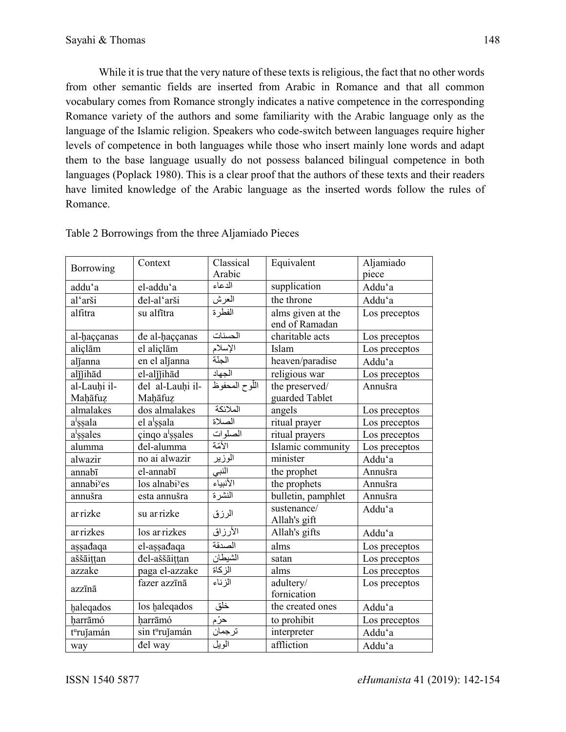While it is true that the very nature of these texts is religious, the fact that no other words from other semantic fields are inserted from Arabic in Romance and that all common vocabulary comes from Romance strongly indicates a native competence in the corresponding Romance variety of the authors and some familiarity with the Arabic language only as the language of the Islamic religion. Speakers who code-switch between languages require higher levels of competence in both languages while those who insert mainly lone words and adapt them to the base language usually do not possess balanced bilingual competence in both languages (Poplack 1980). This is a clear proof that the authors of these texts and their readers have limited knowledge of the Arabic language as the inserted words follow the rules of Romance.

| Borrowing              | Context                     | Classical      | Equivalent         | Aljamiado     |
|------------------------|-----------------------------|----------------|--------------------|---------------|
|                        |                             | Arabic         |                    | piece         |
| addu'a                 | el-addu'a                   | الدعاء         | supplication       | Addu'a        |
| al'arši                | đel-al'arši                 | العرش          | the throne         | Addu'a        |
| alfitra                | su alfītra                  | الفطرة         | alms given at the  | Los preceptos |
|                        |                             |                | end of Ramadan     |               |
| al-haççanas            | đe al-haççanas              | الحسنات        | charitable acts    | Los preceptos |
| aliçlām                | el aliçlām                  | الإسلام        | Islam              | Los preceptos |
| aljanna                | en el aljanna               | الجنّة         | heaven/paradise    | Addu'a        |
| aljjihād               | el-aljjihād                 | الجهاد         | religious war      | Los preceptos |
| al-Lauhi il-           | đel al-Lauhi il-            | اللّوح المحفوظ | the preserved/     | Annušra       |
| Mahāfuz                | Mahāfuz                     |                | guarded Tablet     |               |
| almalakes              | dos almalakes               | الملائكة       | angels             | Los preceptos |
| a <sup>l</sup> ssala   | el a <sup>l</sup> ssala     | الصلاة         | ritual prayer      | Los preceptos |
| a <sup>l</sup> ssales  | çinqo a <sup>l</sup> ssales | الصلوات        | ritual prayers     | Los preceptos |
| alumma                 | đel-alumma                  | الأمّة         | Islamic community  | Los preceptos |
| alwazir                | no ai alwazir               | الوزير         | minister           | Addu'a        |
| annabī                 | el-annabī                   | النبي          | the prophet        | Annušra       |
| annabi <sup>y</sup> es | los alnabi <sup>y</sup> es  | الأنبياء       | the prophets       | Annušra       |
| annušra                | esta annušra                | النشرة         | bulletin, pamphlet | Annušra       |
| ar rizke               | su ar rizke                 | الرزق          | sustenance/        | Addu'a        |
|                        |                             |                | Allah's gift       |               |
| ar rizkes              | los ar rizkes               | الأرزاق        | Allah's gifts      | Addu'a        |
| așsađaqa               | el-assadaqa                 | الصدقة         | alms               | Los preceptos |
| aššāittan              | đel-aššāittan               | الشيطان        | satan              | Los preceptos |
| azzake                 | paga el-azzake              | الزكاة         | alms               | Los preceptos |
|                        | fazer azzīnā                | الزناء         | adultery/          | Los preceptos |
| azzīnā                 |                             |                | fornication        |               |
| haleqados              | los haleqados               | خلق            | the created ones   | Addu'a        |
| harrāmó                | harrāmó                     | حرّم           | to prohibit        | Los preceptos |
| t <sup>u</sup> rujamán | sin t <sup>u</sup> rujamán  | ترجمان         | interpreter        | Addu'a        |
| way                    | del way                     | الويل          | affliction         | Addu'a        |
|                        |                             |                |                    |               |

# Table 2 Borrowings from the three Aljamiado Pieces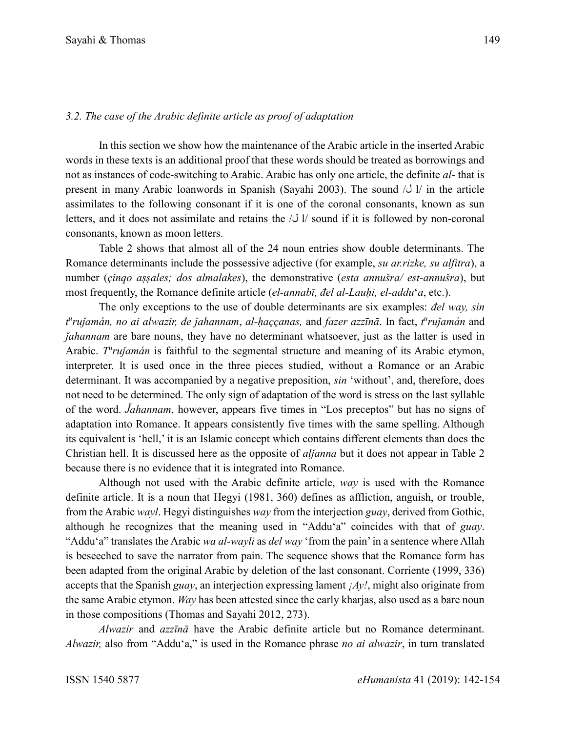## *3.2. The case of the Arabic definite article as proof of adaptation*

In this section we show how the maintenance of the Arabic article in the inserted Arabic words in these texts is an additional proof that these words should be treated as borrowings and not as instances of code-switching to Arabic. Arabic has only one article, the definite *al*- that is present in many Arabic loanwords in Spanish (Sayahi 2003). The sound  $\sqrt{J}$  l/ in the article assimilates to the following consonant if it is one of the coronal consonants, known as sun letters, and it does not assimilate and retains the  $\lambda$  l/ sound if it is followed by non-coronal consonants, known as moon letters.

Table 2 shows that almost all of the 24 noun entries show double determinants. The Romance determinants include the possessive adjective (for example, *su ar.rizke, su alfitra*), a number (*çinqo aṣṣales; dos almalakes*), the demonstrative (*esta annušra/ est-annušra*), but most frequently, the Romance definite article (*el-annabī, đel al-Lauḥi, el-addu*'*a*, etc.).

The only exceptions to the use of double determinants are six examples: *đel way, sin t u ruǰamán, no ai alwazir, đe ǰahannam*, *al-ḥaççanas,* and *fazer azzīnā*. In fact, *t u ruǰamán* and *Jahannam* are bare nouns, they have no determinant whatsoever, just as the latter is used in Arabic. *T<sup>u</sup>rujamán* is faithful to the segmental structure and meaning of its Arabic etymon, interpreter. It is used once in the three pieces studied, without a Romance or an Arabic determinant. It was accompanied by a negative preposition, *sin* 'without', and, therefore, does not need to be determined. The only sign of adaptation of the word is stress on the last syllable of the word. *J̌ahannam*, however, appears five times in "Los preceptos" but has no signs of adaptation into Romance. It appears consistently five times with the same spelling. Although its equivalent is 'hell,' it is an Islamic concept which contains different elements than does the Christian hell. It is discussed here as the opposite of *alǰanna* but it does not appear in Table 2 because there is no evidence that it is integrated into Romance.

Although not used with the Arabic definite article, *way* is used with the Romance definite article. It is a noun that Hegyi (1981, 360) defines as affliction, anguish, or trouble, from the Arabic *wayl*. Hegyi distinguishes *way* from the interjection *guay*, derived from Gothic, although he recognizes that the meaning used in "Addu'a" coincides with that of *guay*. "Addu'a" translates the Arabic *wa al-wayli* as *del way* 'from the pain'in a sentence where Allah is beseeched to save the narrator from pain. The sequence shows that the Romance form has been adapted from the original Arabic by deletion of the last consonant. Corriente (1999, 336) accepts that the Spanish *guay*, an interjection expressing lament *¡Ay!*, might also originate from the same Arabic etymon. *Way* has been attested since the early kharjas, also used as a bare noun in those compositions (Thomas and Sayahi 2012, 273).

*Alwazir* and *azzīnā* have the Arabic definite article but no Romance determinant. *Alwazir,* also from "Addu'a," is used in the Romance phrase *no ai alwazir*, in turn translated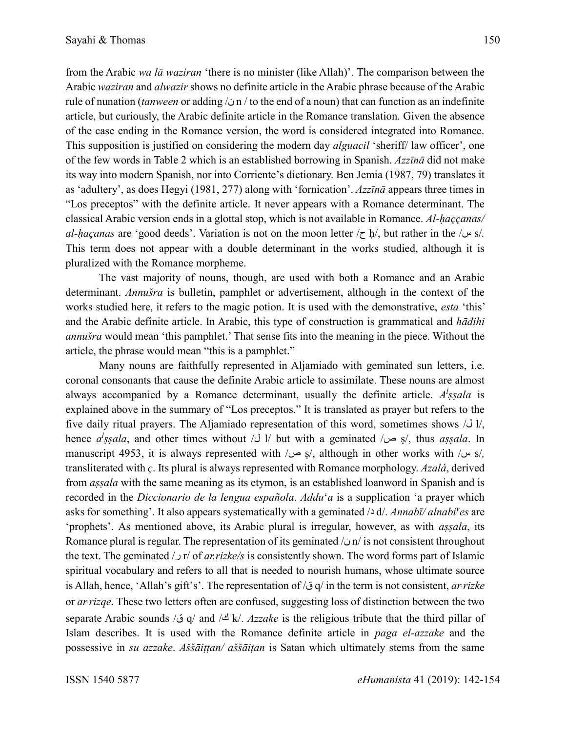from the Arabic *wa lā waziran* 'there is no minister (like Allah)'. The comparison between the Arabic *waziran* and *alwazir* shows no definite article in the Arabic phrase because of the Arabic rule of nunation (*tanween* or adding /ن n / to the end of a noun) that can function as an indefinite article, but curiously, the Arabic definite article in the Romance translation. Given the absence of the case ending in the Romance version, the word is considered integrated into Romance. This supposition is justified on considering the modern day *alguacil* 'sheriff/ law officer', one of the few words in Table 2 which is an established borrowing in Spanish. *Azzīnā* did not make its way into modern Spanish, nor into Corriente's dictionary. Ben Jemia (1987, 79) translates it as 'adultery', as does Hegyi (1981, 277) along with 'fornication'. *Azzīnā* appears three times in "Los preceptos" with the definite article. It never appears with a Romance determinant. The classical Arabic version ends in a glottal stop, which is not available in Romance. *Al-ḥaççanas/* 

*al-ḥaçanas* are 'good deeds'. Variation is not on the moon letter /ح ḥ/, but rather in the /س s/*.*  This term does not appear with a double determinant in the works studied, although it is pluralized with the Romance morpheme.

The vast majority of nouns, though, are used with both a Romance and an Arabic determinant. *Annušra* is bulletin, pamphlet or advertisement, although in the context of the works studied here, it refers to the magic potion. It is used with the demonstrative, *esta* 'this' and the Arabic definite article. In Arabic, this type of construction is grammatical and *hāđihi annušra* would mean 'this pamphlet.' That sense fits into the meaning in the piece. Without the article, the phrase would mean "this is a pamphlet."

Many nouns are faithfully represented in Aljamiado with geminated sun letters, i.e. coronal consonants that cause the definite Arabic article to assimilate. These nouns are almost always accompanied by a Romance determinant, usually the definite article. *A l ṣṣala* is explained above in the summary of "Los preceptos." It is translated as prayer but refers to the five daily ritual prayers. The Aljamiado representation of this word, sometimes shows  $\Delta U$ , hence *a<sup>l</sup>*ssala, and other times without /J 1/ but with a geminated /ح ص/, thus *assala*. In manuscript 4953, it is always represented with /ص ṣ/, although in other works with /س s/*,* transliterated with *ç*. Its plural is always represented with Romance morphology. *Azalá*, derived from *aṣṣala* with the same meaning as its etymon, is an established loanword in Spanish and is recorded in the *Diccionario de la lengua española*. *Addu*'*a* is a supplication 'a prayer which asks for something'. It also appears systematically with a geminated /د d/. *Annabī/ alnabi<sup>y</sup> es* are 'prophets'. As mentioned above, its Arabic plural is irregular, however, as with *aṣṣala*, its Romance plural is regular. The representation of its geminated  $\sin$  is not consistent throughout the text. The geminated /ر r/ of *ar.rizke/s* is consistently shown. The word forms part of Islamic spiritual vocabulary and refers to all that is needed to nourish humans, whose ultimate source is Allah, hence, 'Allah's gift's'. The representation of /ق q/ in the term is not consistent, *ar.rizke* or *ar.rizqe*. These two letters often are confused, suggesting loss of distinction between the two separate Arabic sounds /ق q/ and /ك k/. *Azzake* is the religious tribute that the third pillar of Islam describes. It is used with the Romance definite article in *paga el-azzake* and the possessive in *su azzake*. *Aššāiṭṭan/ aššāiṭan* is Satan which ultimately stems from the same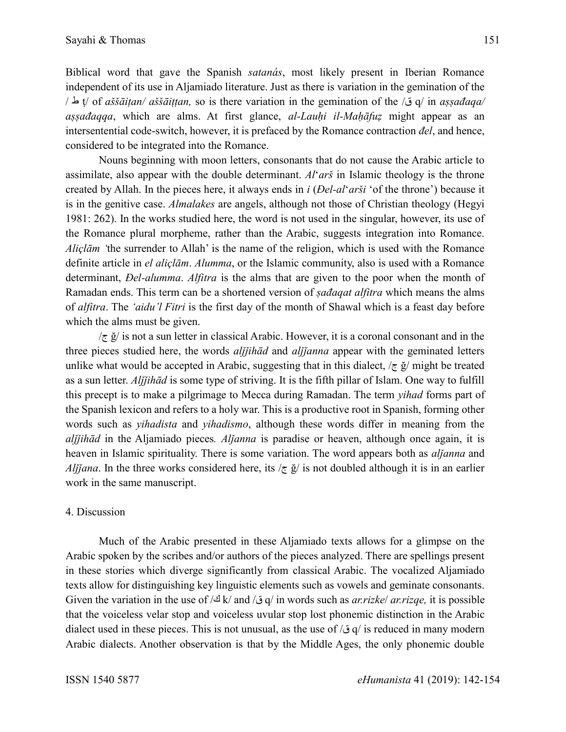Biblical word that gave the Spanish *satanás*, most likely present in Iberian Romance independent of its use in Aljamiado literature. Just as there is variation in the gemination of the / ط ṭ/ of *aššāiṭan/ aššāiṭṭan,* so is there variation in the gemination of the /ق q/ in *aṣṣađaqa/ aṣṣađaqqa*, which are alms. At first glance, *al-Lauḥi il-Maḥāfuẓ* might appear as an intersentential code-switch, however, it is prefaced by the Romance contraction *đel*, and hence, considered to be integrated into the Romance.

Nouns beginning with moon letters, consonants that do not cause the Arabic article to assimilate, also appear with the double determinant. *Al*'*arš* in Islamic theology is the throne created by Allah. In the pieces here, it always ends in *i* (*Đel-al*'*arši* 'of the throne') because it is in the genitive case. *Almalakes* are angels, although not those of Christian theology (Hegyi 1981: 262). In the works studied here, the word is not used in the singular, however, its use of the Romance plural morpheme, rather than the Arabic, suggests integration into Romance. *Aliçlām '*the surrender to Allah' is the name of the religion, which is used with the Romance definite article in *el aliçlām*. *Alumma*, or the Islamic community, also is used with a Romance determinant, *Đel-alumma*. *Alfitra* is the alms that are given to the poor when the month of Ramadan ends. This term can be a shortened version of *ṣađaqat alfitra* which means the alms of *alfitra*. The *'aidu'l Fitri* is the first day of the month of Shawal which is a feast day before which the alms must be given.

 $\sqrt{\tau}$  ğ/ is not a sun letter in classical Arabic. However, it is a coronal consonant and in the three pieces studied here, the words *alijihād* and *alijanna* appear with the geminated letters unlike what would be accepted in Arabic, suggesting that in this dialect,  $\zeta \notin \check{g}$  might be treated as a sun letter. *Alǰǰihād* is some type of striving. It is the fifth pillar of Islam. One way to fulfill this precept is to make a pilgrimage to Mecca during Ramadan. The term *yihad* forms part of the Spanish lexicon and refers to a holy war. This is a productive root in Spanish, forming other words such as *yihadista* and *yihadismo*, although these words differ in meaning from the *alǰǰihād* in the Aljamiado pieces*. Alǰanna* is paradise or heaven, although once again, it is heaven in Islamic spirituality. There is some variation. The word appears both as *alǰanna* and *Alijana*. In the three works considered here, its  $\overline{\zeta}$  is not doubled although it is in an earlier work in the same manuscript.

#### 4. Discussion

Much of the Arabic presented in these Aljamiado texts allows for a glimpse on the Arabic spoken by the scribes and/or authors of the pieces analyzed. There are spellings present in these stories which diverge significantly from classical Arabic. The vocalized Aljamiado texts allow for distinguishing key linguistic elements such as vowels and geminate consonants. Given the variation in the use of /ك k/ and /ق q/ in words such as *ar.rizke*/ *ar.rizqe,* it is possible that the voiceless velar stop and voiceless uvular stop lost phonemic distinction in the Arabic dialect used in these pieces. This is not unusual, as the use of /ق/ js reduced in many modern Arabic dialects. Another observation is that by the Middle Ages, the only phonemic double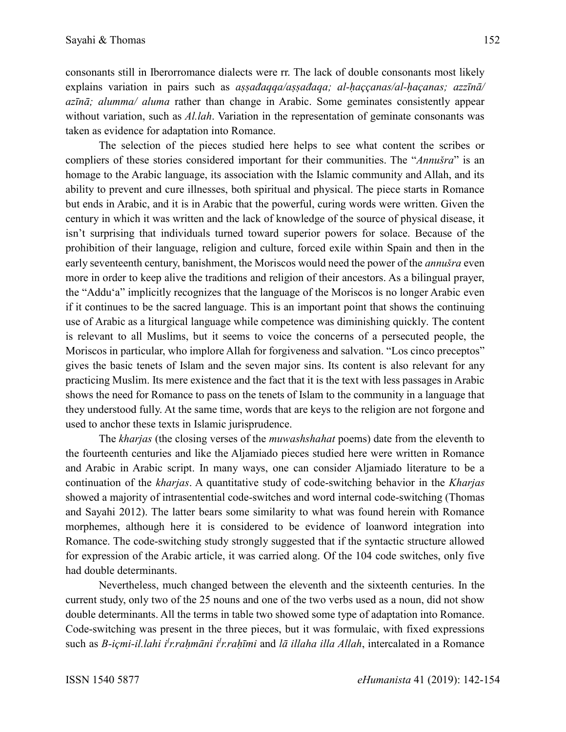consonants still in Iberorromance dialects were rr. The lack of double consonants most likely explains variation in pairs such as *aṣṣađaqqa/aṣṣađaqa; al-ḥaççanas/al-ḥaçanas; azzīnā/ azīnā; alumma/ aluma* rather than change in Arabic. Some geminates consistently appear without variation, such as *Al.lah*. Variation in the representation of geminate consonants was taken as evidence for adaptation into Romance.

The selection of the pieces studied here helps to see what content the scribes or compliers of these stories considered important for their communities. The "*Annušra*" is an homage to the Arabic language, its association with the Islamic community and Allah, and its ability to prevent and cure illnesses, both spiritual and physical. The piece starts in Romance but ends in Arabic, and it is in Arabic that the powerful, curing words were written. Given the century in which it was written and the lack of knowledge of the source of physical disease, it isn't surprising that individuals turned toward superior powers for solace. Because of the prohibition of their language, religion and culture, forced exile within Spain and then in the early seventeenth century, banishment, the Moriscos would need the power of the *annušra* even more in order to keep alive the traditions and religion of their ancestors. As a bilingual prayer, the "Addu'a" implicitly recognizes that the language of the Moriscos is no longer Arabic even if it continues to be the sacred language. This is an important point that shows the continuing use of Arabic as a liturgical language while competence was diminishing quickly. The content is relevant to all Muslims, but it seems to voice the concerns of a persecuted people, the Moriscos in particular, who implore Allah for forgiveness and salvation. "Los cinco preceptos" gives the basic tenets of Islam and the seven major sins. Its content is also relevant for any practicing Muslim. Its mere existence and the fact that it is the text with less passages in Arabic shows the need for Romance to pass on the tenets of Islam to the community in a language that they understood fully. At the same time, words that are keys to the religion are not forgone and used to anchor these texts in Islamic jurisprudence.

The *kharjas* (the closing verses of the *muwashshahat* poems) date from the eleventh to the fourteenth centuries and like the Aljamiado pieces studied here were written in Romance and Arabic in Arabic script. In many ways, one can consider Aljamiado literature to be a continuation of the *kharjas*. A quantitative study of code-switching behavior in the *Kharjas* showed a majority of intrasentential code-switches and word internal code-switching (Thomas and Sayahi 2012). The latter bears some similarity to what was found herein with Romance morphemes, although here it is considered to be evidence of loanword integration into Romance. The code-switching study strongly suggested that if the syntactic structure allowed for expression of the Arabic article, it was carried along. Of the 104 code switches, only five had double determinants.

Nevertheless, much changed between the eleventh and the sixteenth centuries. In the current study, only two of the 25 nouns and one of the two verbs used as a noun, did not show double determinants. All the terms in table two showed some type of adaptation into Romance. Code-switching was present in the three pieces, but it was formulaic, with fixed expressions such as *B-içmi-il.lahi i<sup>l</sup>r.raḥmāni i<sup>l</sup>r.raḥīmi* and *lā illaha illa Allah*, intercalated in a Romance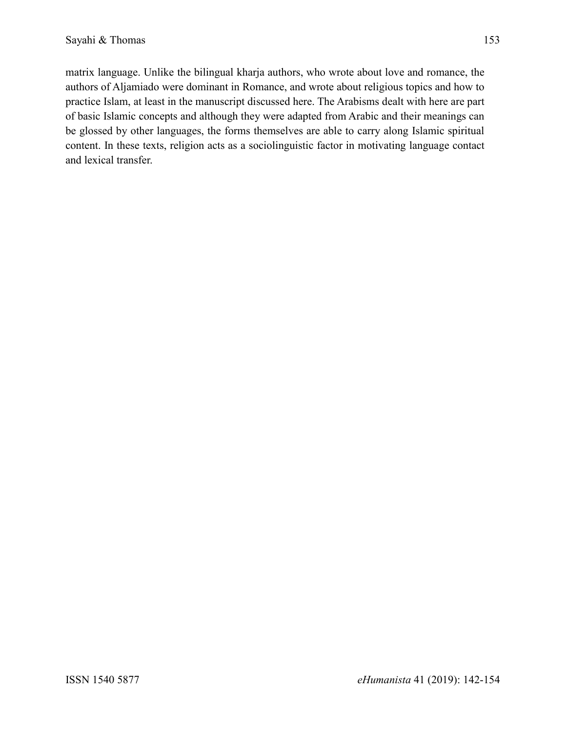matrix language. Unlike the bilingual kharja authors, who wrote about love and romance, the authors of Aljamiado were dominant in Romance, and wrote about religious topics and how to practice Islam, at least in the manuscript discussed here. The Arabisms dealt with here are part of basic Islamic concepts and although they were adapted from Arabic and their meanings can be glossed by other languages, the forms themselves are able to carry along Islamic spiritual content. In these texts, religion acts as a sociolinguistic factor in motivating language contact and lexical transfer.